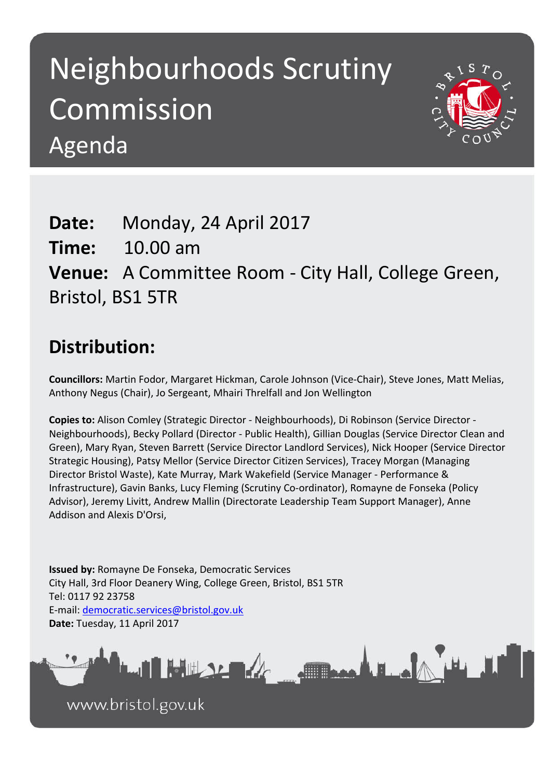# Neighbourhoods Scrutiny Commission Agenda



## **Date:** Monday, 24 April 2017 **Time:** 10.00 am **Venue:** A Committee Room - City Hall, College Green, Bristol, BS1 5TR

## **Distribution:**

**Councillors:** Martin Fodor, Margaret Hickman, Carole Johnson (Vice-Chair), Steve Jones, Matt Melias, Anthony Negus (Chair), Jo Sergeant, Mhairi Threlfall and Jon Wellington

**Copies to:** Alison Comley (Strategic Director - Neighbourhoods), Di Robinson (Service Director - Neighbourhoods), Becky Pollard (Director - Public Health), Gillian Douglas (Service Director Clean and Green), Mary Ryan, Steven Barrett (Service Director Landlord Services), Nick Hooper (Service Director Strategic Housing), Patsy Mellor (Service Director Citizen Services), Tracey Morgan (Managing Director Bristol Waste), Kate Murray, Mark Wakefield (Service Manager - Performance & Infrastructure), Gavin Banks, Lucy Fleming (Scrutiny Co-ordinator), Romayne de Fonseka (Policy Advisor), Jeremy Livitt, Andrew Mallin (Directorate Leadership Team Support Manager), Anne Addison and Alexis D'Orsi,

**Issued by:** Romayne De Fonseka, Democratic Services City Hall, 3rd Floor Deanery Wing, College Green, Bristol, BS1 5TR Tel: 0117 92 23758 E-mail: [democratic.services@bristol.gov.uk](mailto:democratic.services@bristol.gov.uk) **Date:** Tuesday, 11 April 2017



www.bristol.gov.uk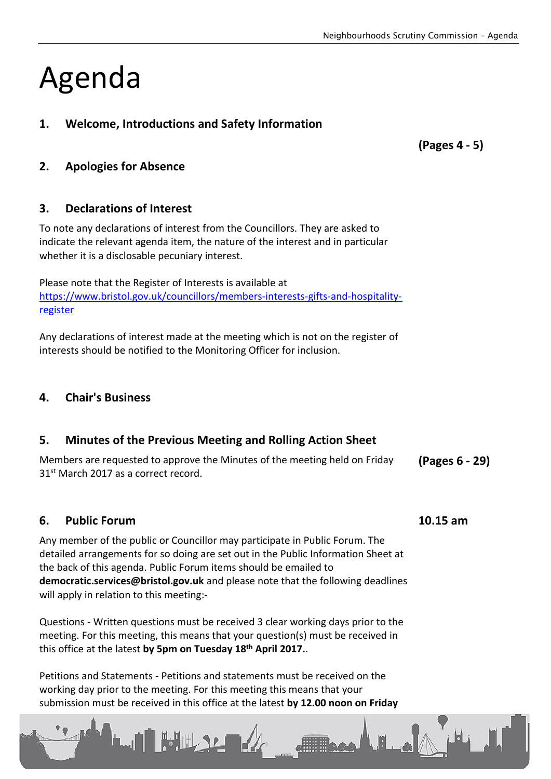# Agenda

### **1. Welcome, Introductions and Safety Information**

**(Pages 4 - 5)**

### **2. Apologies for Absence**

#### **3. Declarations of Interest**

To note any declarations of interest from the Councillors. They are asked to indicate the relevant agenda item, the nature of the interest and in particular whether it is a disclosable pecuniary interest.

Please note that the Register of Interests is available at [https://www.bristol.gov.uk/councillors/members-interests-gifts-and-hospitality](https://www.bristol.gov.uk/councillors/members-interests-gifts-and-hospitality-register)[register](https://www.bristol.gov.uk/councillors/members-interests-gifts-and-hospitality-register)

Any declarations of interest made at the meeting which is not on the register of interests should be notified to the Monitoring Officer for inclusion.

#### **4. Chair's Business**

#### **5. Minutes of the Previous Meeting and Rolling Action Sheet**

Members are requested to approve the Minutes of the meeting held on Friday 31st March 2017 as a correct record. **(Pages 6 - 29)**

#### **6. Public Forum 10.15 am**

Any member of the public or Councillor may participate in Public Forum. The detailed arrangements for so doing are set out in the Public Information Sheet at the back of this agenda. Public Forum items should be emailed to **democratic.services@bristol.gov.uk** and please note that the following deadlines will apply in relation to this meeting:-

Questions - Written questions must be received 3 clear working days prior to the meeting. For this meeting, this means that your question(s) must be received in this office at the latest **by 5pm on Tuesday 18th April 2017.**.

Petitions and Statements - Petitions and statements must be received on the working day prior to the meeting. For this meeting this means that your submission must be received in this office at the latest **by 12.00 noon on Friday**